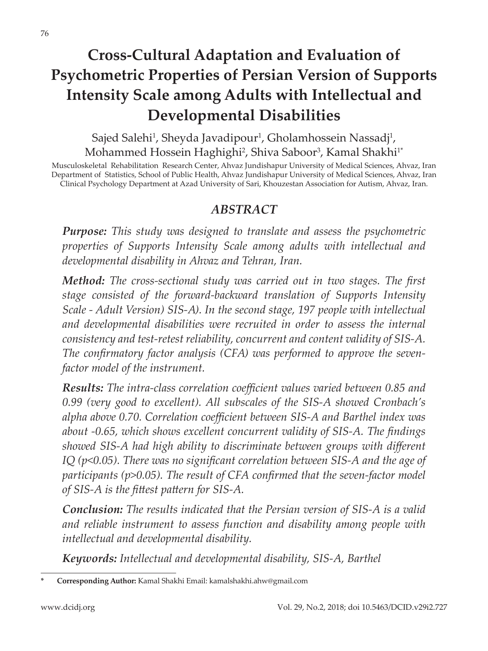# **Cross-Cultural Adaptation and Evaluation of Psychometric Properties of Persian Version of Supports Intensity Scale among Adults with Intellectual and Developmental Disabilities**

Sajed Salehi<sup>1</sup>, Sheyda Javadipour<sup>1</sup>, Gholamhossein Nassadj<sup>1</sup>, Mohammed Hossein Haghighi<sup>2</sup>, Shiva Saboor<sup>3</sup>, Kamal Shakhi<sup>1</sup>'

Musculoskeletal Rehabilitation Research Center, Ahvaz Jundishapur University of Medical Sciences, Ahvaz, Iran Department of Statistics, School of Public Health, Ahvaz Jundishapur University of Medical Sciences, Ahvaz, Iran Clinical Psychology Department at Azad University of Sari, Khouzestan Association for Autism, Ahvaz, Iran.

#### *ABSTRACT*

*Purpose: This study was designed to translate and assess the psychometric properties of Supports Intensity Scale among adults with intellectual and developmental disability in Ahvaz and Tehran, Iran.*

*Method: The cross-sectional study was carried out in two stages. The first stage consisted of the forward-backward translation of Supports Intensity Scale - Adult Version) SIS-A). In the second stage, 197 people with intellectual and developmental disabilities were recruited in order to assess the internal consistency and test-retest reliability, concurrent and content validity of SIS-A. The confirmatory factor analysis (CFA) was performed to approve the sevenfactor model of the instrument.*

*Results: The intra-class correlation coefficient values varied between 0.85 and 0.99 (very good to excellent). All subscales of the SIS-A showed Cronbach's alpha above 0.70. Correlation coefficient between SIS-A and Barthel index was about -0.65, which shows excellent concurrent validity of SIS-A. The findings showed SIS-A had high ability to discriminate between groups with different IQ (p<0.05). There was no significant correlation between SIS-A and the age of participants (p>0.05). The result of CFA confirmed that the seven-factor model of SIS-A is the fittest pattern for SIS-A.*

*Conclusion: The results indicated that the Persian version of SIS-A is a valid and reliable instrument to assess function and disability among people with intellectual and developmental disability.*

*Keywords: Intellectual and developmental disability, SIS-A, Barthel*

**<sup>\*</sup> Corresponding Author:** Kamal Shakhi Email: kamalshakhi.ahw@gmail.com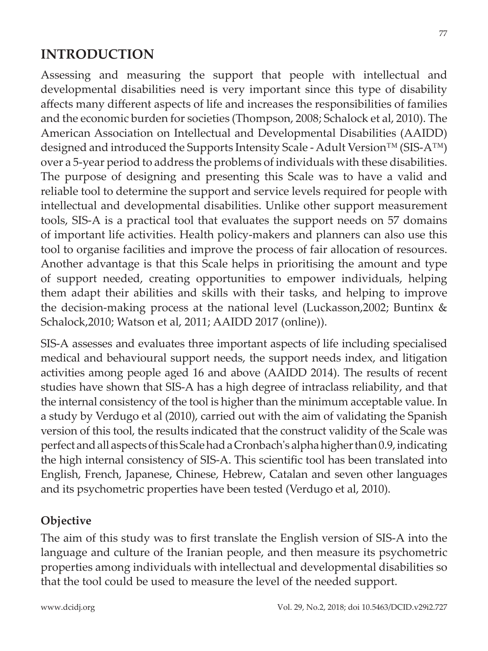# **INTRODUCTION**

Assessing and measuring the support that people with intellectual and developmental disabilities need is very important since this type of disability affects many different aspects of life and increases the responsibilities of families and the economic burden for societies (Thompson, 2008; Schalock et al, 2010). The American Association on Intellectual and Developmental Disabilities (AAIDD) designed and introduced the Supports Intensity Scale - Adult Version™ (SIS-A™) over a 5-year period to address the problems of individuals with these disabilities. The purpose of designing and presenting this Scale was to have a valid and reliable tool to determine the support and service levels required for people with intellectual and developmental disabilities. Unlike other support measurement tools, SIS-A is a practical tool that evaluates the support needs on 57 domains of important life activities. Health policy-makers and planners can also use this tool to organise facilities and improve the process of fair allocation of resources. Another advantage is that this Scale helps in prioritising the amount and type of support needed, creating opportunities to empower individuals, helping them adapt their abilities and skills with their tasks, and helping to improve the decision-making process at the national level (Luckasson,2002; Buntinx & Schalock,2010; Watson et al, 2011; AAIDD 2017 (online)).

SIS-A assesses and evaluates three important aspects of life including specialised medical and behavioural support needs, the support needs index, and litigation activities among people aged 16 and above (AAIDD 2014). The results of recent studies have shown that SIS-A has a high degree of intraclass reliability, and that the internal consistency of the tool is higher than the minimum acceptable value. In a study by Verdugo et al (2010), carried out with the aim of validating the Spanish version of this tool, the results indicated that the construct validity of the Scale was perfect and all aspects of this Scale had a Cronbach's alpha higher than 0.9, indicating the high internal consistency of SIS-A. This scientific tool has been translated into English, French, Japanese, Chinese, Hebrew, Catalan and seven other languages and its psychometric properties have been tested (Verdugo et al, 2010).

#### **Objective**

The aim of this study was to first translate the English version of SIS-A into the language and culture of the Iranian people, and then measure its psychometric properties among individuals with intellectual and developmental disabilities so that the tool could be used to measure the level of the needed support.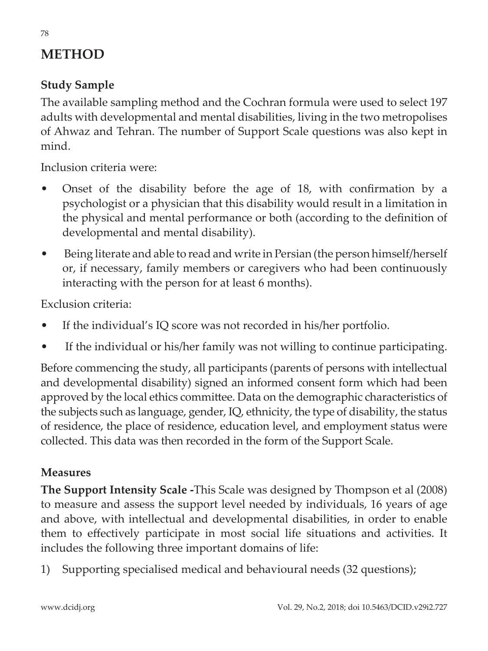# **METHOD**

## **Study Sample**

The available sampling method and the Cochran formula were used to select 197 adults with developmental and mental disabilities, living in the two metropolises of Ahwaz and Tehran. The number of Support Scale questions was also kept in mind.

Inclusion criteria were:

- Onset of the disability before the age of 18, with confirmation by a psychologist or a physician that this disability would result in a limitation in the physical and mental performance or both (according to the definition of developmental and mental disability).
- Being literate and able to read and write in Persian (the person himself/herself or, if necessary, family members or caregivers who had been continuously interacting with the person for at least 6 months).

Exclusion criteria:

- If the individual's IQ score was not recorded in his/her portfolio.
- If the individual or his/her family was not willing to continue participating.

Before commencing the study, all participants (parents of persons with intellectual and developmental disability) signed an informed consent form which had been approved by the local ethics committee. Data on the demographic characteristics of the subjects such as language, gender, IQ, ethnicity, the type of disability, the status of residence, the place of residence, education level, and employment status were collected. This data was then recorded in the form of the Support Scale.

#### **Measures**

**The Support Intensity Scale -**This Scale was designed by Thompson et al (2008) to measure and assess the support level needed by individuals, 16 years of age and above, with intellectual and developmental disabilities, in order to enable them to effectively participate in most social life situations and activities. It includes the following three important domains of life:

1) Supporting specialised medical and behavioural needs (32 questions);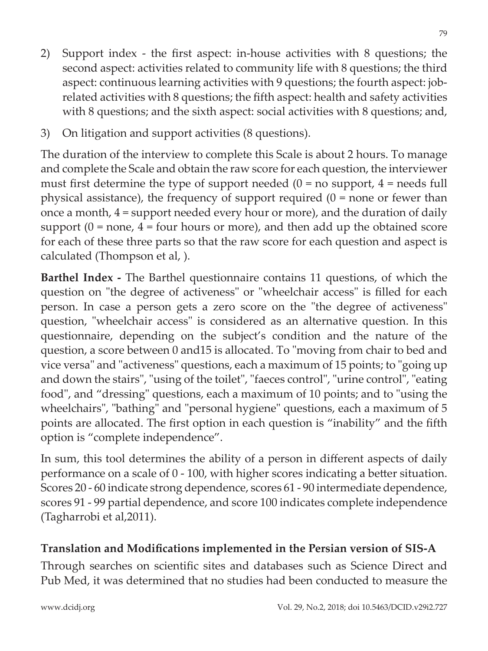- 2) Support index the first aspect: in-house activities with 8 questions; the second aspect: activities related to community life with 8 questions; the third aspect: continuous learning activities with 9 questions; the fourth aspect: jobrelated activities with 8 questions; the fifth aspect: health and safety activities with 8 questions; and the sixth aspect: social activities with 8 questions; and,
- 3) On litigation and support activities (8 questions).

The duration of the interview to complete this Scale is about 2 hours. To manage and complete the Scale and obtain the raw score for each question, the interviewer must first determine the type of support needed  $(0 = no$  support,  $4 = needs$  full physical assistance), the frequency of support required  $(0 =$  none or fewer than once a month, 4 = support needed every hour or more), and the duration of daily support  $(0 = none, 4 = four hours or more)$ , and then add up the obtained score for each of these three parts so that the raw score for each question and aspect is calculated (Thompson et al, ).

**Barthel Index -** The Barthel questionnaire contains 11 questions, of which the question on "the degree of activeness" or "wheelchair access" is filled for each person. In case a person gets a zero score on the "the degree of activeness" question, "wheelchair access" is considered as an alternative question. In this questionnaire, depending on the subject's condition and the nature of the question, a score between 0 and15 is allocated. To "moving from chair to bed and vice versa" and "activeness" questions, each a maximum of 15 points; to "going up and down the stairs", "using of the toilet", "faeces control", "urine control", "eating food", and "dressing" questions, each a maximum of 10 points; and to "using the wheelchairs", "bathing" and "personal hygiene" questions, each a maximum of 5 points are allocated. The first option in each question is "inability" and the fifth option is "complete independence".

In sum, this tool determines the ability of a person in different aspects of daily performance on a scale of 0 - 100, with higher scores indicating a better situation. Scores 20 - 60 indicate strong dependence, scores 61 - 90 intermediate dependence, scores 91 - 99 partial dependence, and score 100 indicates complete independence (Tagharrobi et al,2011).

## **Translation and Modifications implemented in the Persian version of SIS-A**

Through searches on scientific sites and databases such as Science Direct and Pub Med, it was determined that no studies had been conducted to measure the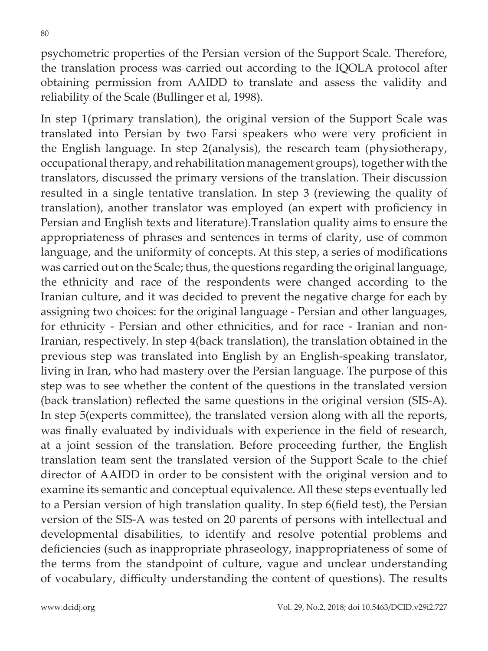psychometric properties of the Persian version of the Support Scale. Therefore, the translation process was carried out according to the IQOLA protocol after obtaining permission from AAIDD to translate and assess the validity and reliability of the Scale (Bullinger et al, 1998).

In step 1(primary translation), the original version of the Support Scale was translated into Persian by two Farsi speakers who were very proficient in the English language. In step 2(analysis), the research team (physiotherapy, occupational therapy, and rehabilitation management groups), together with the translators, discussed the primary versions of the translation. Their discussion resulted in a single tentative translation. In step 3 (reviewing the quality of translation), another translator was employed (an expert with proficiency in Persian and English texts and literature).Translation quality aims to ensure the appropriateness of phrases and sentences in terms of clarity, use of common language, and the uniformity of concepts. At this step, a series of modifications was carried out on the Scale; thus, the questions regarding the original language, the ethnicity and race of the respondents were changed according to the Iranian culture, and it was decided to prevent the negative charge for each by assigning two choices: for the original language - Persian and other languages, for ethnicity - Persian and other ethnicities, and for race - Iranian and non-Iranian, respectively. In step 4(back translation), the translation obtained in the previous step was translated into English by an English-speaking translator, living in Iran, who had mastery over the Persian language. The purpose of this step was to see whether the content of the questions in the translated version (back translation) reflected the same questions in the original version (SIS-A). In step 5(experts committee), the translated version along with all the reports, was finally evaluated by individuals with experience in the field of research, at a joint session of the translation. Before proceeding further, the English translation team sent the translated version of the Support Scale to the chief director of AAIDD in order to be consistent with the original version and to examine its semantic and conceptual equivalence. All these steps eventually led to a Persian version of high translation quality. In step 6(field test), the Persian version of the SIS-A was tested on 20 parents of persons with intellectual and developmental disabilities, to identify and resolve potential problems and deficiencies (such as inappropriate phraseology, inappropriateness of some of the terms from the standpoint of culture, vague and unclear understanding of vocabulary, difficulty understanding the content of questions). The results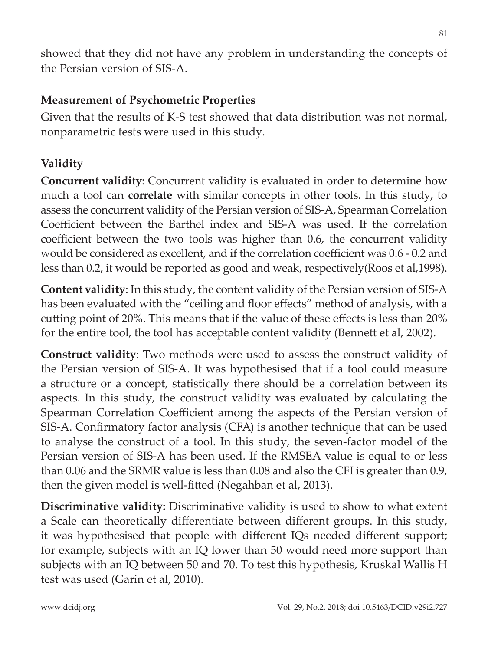showed that they did not have any problem in understanding the concepts of the Persian version of SIS-A.

#### **Measurement of Psychometric Properties**

Given that the results of K-S test showed that data distribution was not normal, nonparametric tests were used in this study.

#### **Validity**

**Concurrent validity**: Concurrent validity is evaluated in order to determine how much a tool can **correlate** with similar concepts in other tools. In this study, to assess the concurrent validity of the Persian version of SIS-A, Spearman Correlation Coefficient between the Barthel index and SIS-A was used. If the correlation coefficient between the two tools was higher than 0.6, the concurrent validity would be considered as excellent, and if the correlation coefficient was 0.6 - 0.2 and less than 0.2, it would be reported as good and weak, respectively(Roos et al,1998).

**Content validity**: In this study, the content validity of the Persian version of SIS-A has been evaluated with the "ceiling and floor effects" method of analysis, with a cutting point of 20%. This means that if the value of these effects is less than 20% for the entire tool, the tool has acceptable content validity (Bennett et al, 2002).

**Construct validity**: Two methods were used to assess the construct validity of the Persian version of SIS-A. It was hypothesised that if a tool could measure a structure or a concept, statistically there should be a correlation between its aspects. In this study, the construct validity was evaluated by calculating the Spearman Correlation Coefficient among the aspects of the Persian version of SIS-A. Confirmatory factor analysis (CFA) is another technique that can be used to analyse the construct of a tool. In this study, the seven-factor model of the Persian version of SIS-A has been used. If the RMSEA value is equal to or less than 0.06 and the SRMR value is less than 0.08 and also the CFI is greater than 0.9, then the given model is well-fitted (Negahban et al, 2013).

**Discriminative validity:** Discriminative validity is used to show to what extent a Scale can theoretically differentiate between different groups. In this study, it was hypothesised that people with different IQs needed different support; for example, subjects with an IQ lower than 50 would need more support than subjects with an IQ between 50 and 70. To test this hypothesis, Kruskal Wallis H test was used (Garin et al, 2010).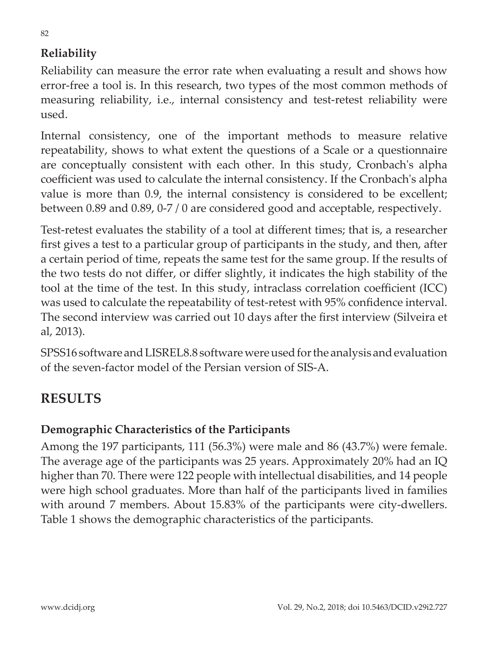## **Reliability**

Reliability can measure the error rate when evaluating a result and shows how error-free a tool is. In this research, two types of the most common methods of measuring reliability, i.e., internal consistency and test-retest reliability were used.

Internal consistency, one of the important methods to measure relative repeatability, shows to what extent the questions of a Scale or a questionnaire are conceptually consistent with each other. In this study, Cronbach's alpha coefficient was used to calculate the internal consistency. If the Cronbach's alpha value is more than 0.9, the internal consistency is considered to be excellent; between 0.89 and 0.89, 0-7 / 0 are considered good and acceptable, respectively.

Test-retest evaluates the stability of a tool at different times; that is, a researcher first gives a test to a particular group of participants in the study, and then, after a certain period of time, repeats the same test for the same group. If the results of the two tests do not differ, or differ slightly, it indicates the high stability of the tool at the time of the test. In this study, intraclass correlation coefficient (ICC) was used to calculate the repeatability of test-retest with 95% confidence interval. The second interview was carried out 10 days after the first interview (Silveira et al, 2013).

SPSS16 software and LISREL8.8 software were used for the analysis and evaluation of the seven-factor model of the Persian version of SIS-A.

# **RESULTS**

# **Demographic Characteristics of the Participants**

Among the 197 participants, 111 (56.3%) were male and 86 (43.7%) were female. The average age of the participants was 25 years. Approximately 20% had an IQ higher than 70. There were 122 people with intellectual disabilities, and 14 people were high school graduates. More than half of the participants lived in families with around 7 members. About 15.83% of the participants were city-dwellers. Table 1 shows the demographic characteristics of the participants.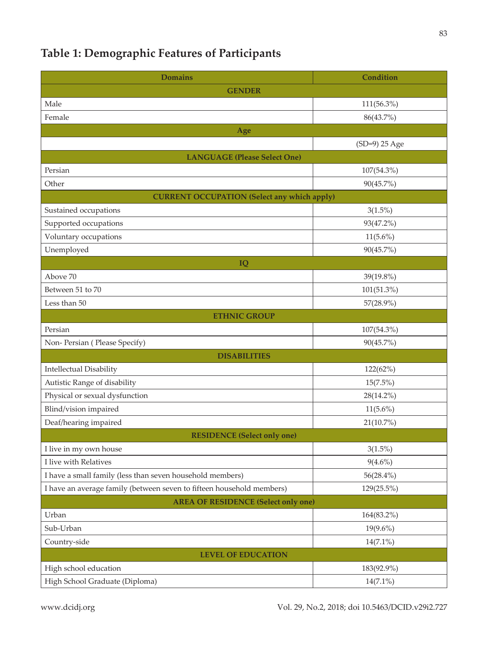## **Table 1: Demographic Features of Participants**

| <b>Domains</b>                                                        | Condition     |  |  |  |  |  |  |  |
|-----------------------------------------------------------------------|---------------|--|--|--|--|--|--|--|
| <b>GENDER</b>                                                         |               |  |  |  |  |  |  |  |
| Male                                                                  | 111(56.3%)    |  |  |  |  |  |  |  |
| Female                                                                | 86(43.7%)     |  |  |  |  |  |  |  |
| Age                                                                   |               |  |  |  |  |  |  |  |
|                                                                       | (SD=9) 25 Age |  |  |  |  |  |  |  |
| <b>LANGUAGE (Please Select One)</b>                                   |               |  |  |  |  |  |  |  |
| Persian                                                               | 107(54.3%)    |  |  |  |  |  |  |  |
| Other                                                                 | 90(45.7%)     |  |  |  |  |  |  |  |
| <b>CURRENT OCCUPATION (Select any which apply)</b>                    |               |  |  |  |  |  |  |  |
| Sustained occupations                                                 | $3(1.5\%)$    |  |  |  |  |  |  |  |
| Supported occupations                                                 | 93(47.2%)     |  |  |  |  |  |  |  |
| Voluntary occupations                                                 | $11(5.6\%)$   |  |  |  |  |  |  |  |
| Unemployed                                                            | 90(45.7%)     |  |  |  |  |  |  |  |
| IQ                                                                    |               |  |  |  |  |  |  |  |
| Above 70                                                              | 39(19.8%)     |  |  |  |  |  |  |  |
| Between 51 to 70                                                      | 101(51.3%)    |  |  |  |  |  |  |  |
| Less than 50                                                          | 57(28.9%)     |  |  |  |  |  |  |  |
| <b>ETHNIC GROUP</b>                                                   |               |  |  |  |  |  |  |  |
| Persian                                                               | 107(54.3%)    |  |  |  |  |  |  |  |
| Non-Persian (Please Specify)                                          | 90(45.7%)     |  |  |  |  |  |  |  |
| <b>DISABILITIES</b>                                                   |               |  |  |  |  |  |  |  |
| Intellectual Disability                                               | 122(62%)      |  |  |  |  |  |  |  |
| Autistic Range of disability                                          | $15(7.5\%)$   |  |  |  |  |  |  |  |
| Physical or sexual dysfunction                                        | 28(14.2%)     |  |  |  |  |  |  |  |
| Blind/vision impaired                                                 | $11(5.6\%)$   |  |  |  |  |  |  |  |
| Deaf/hearing impaired                                                 | 21(10.7%)     |  |  |  |  |  |  |  |
| <b>RESIDENCE (Select only one)</b>                                    |               |  |  |  |  |  |  |  |
| I live in my own house                                                | 3(1.5%)       |  |  |  |  |  |  |  |
| I live with Relatives                                                 | $9(4.6\%)$    |  |  |  |  |  |  |  |
| I have a small family (less than seven household members)             | 56(28.4%)     |  |  |  |  |  |  |  |
| I have an average family (between seven to fifteen household members) | 129(25.5%)    |  |  |  |  |  |  |  |
| <b>AREA OF RESIDENCE (Select only one)</b>                            |               |  |  |  |  |  |  |  |
| Urban                                                                 | 164(83.2%)    |  |  |  |  |  |  |  |
| Sub-Urban                                                             | $19(9.6\%)$   |  |  |  |  |  |  |  |
| Country-side                                                          | $14(7.1\%)$   |  |  |  |  |  |  |  |
| <b>LEVEL OF EDUCATION</b>                                             |               |  |  |  |  |  |  |  |
| High school education                                                 | 183(92.9%)    |  |  |  |  |  |  |  |
| High School Graduate (Diploma)                                        | $14(7.1\%)$   |  |  |  |  |  |  |  |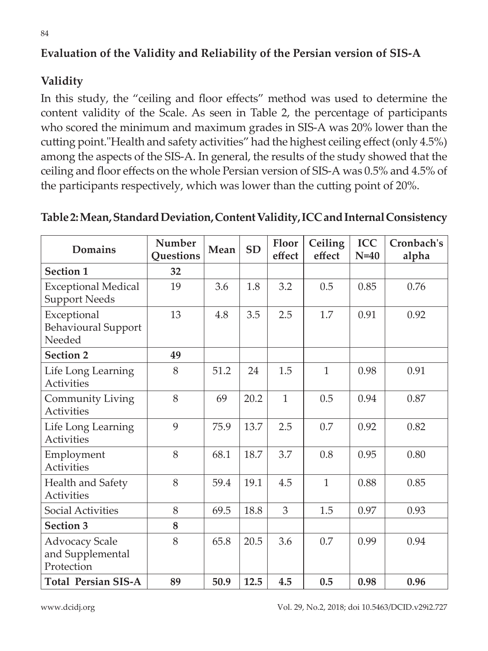## **Evaluation of the Validity and Reliability of the Persian version of SIS-A**

# **Validity**

In this study, the "ceiling and floor effects" method was used to determine the content validity of the Scale. As seen in Table 2, the percentage of participants who scored the minimum and maximum grades in SIS-A was 20% lower than the cutting point."Health and safety activities" had the highest ceiling effect (only 4.5%) among the aspects of the SIS-A. In general, the results of the study showed that the ceiling and floor effects on the whole Persian version of SIS-A was 0.5% and 4.5% of the participants respectively, which was lower than the cutting point of 20%.

| <b>Domains</b>                                          | Number<br>Questions | Mean | <b>SD</b> | Floor<br>effect | Ceiling<br>effect | <b>ICC</b><br>$N=40$ | Cronbach's<br>alpha |
|---------------------------------------------------------|---------------------|------|-----------|-----------------|-------------------|----------------------|---------------------|
| Section 1                                               | 32                  |      |           |                 |                   |                      |                     |
| <b>Exceptional Medical</b><br><b>Support Needs</b>      | 19                  | 3.6  | 1.8       | 3.2             | 0.5               | 0.85                 | 0.76                |
| Exceptional<br><b>Behavioural Support</b><br>Needed     | 13                  | 4.8  | 3.5       | 2.5             | 1.7               | 0.91                 | 0.92                |
| <b>Section 2</b>                                        | 49                  |      |           |                 |                   |                      |                     |
| Life Long Learning<br><b>Activities</b>                 | 8                   | 51.2 | 24        | 1.5             | $\mathbf{1}$      | 0.98                 | 0.91                |
| Community Living<br><b>Activities</b>                   | 8                   | 69   | 20.2      | $\mathbf{1}$    | 0.5               | 0.94                 | 0.87                |
| Life Long Learning<br><b>Activities</b>                 | 9                   | 75.9 | 13.7      | 2.5             | 0.7               | 0.92                 | 0.82                |
| Employment<br><b>Activities</b>                         | 8                   | 68.1 | 18.7      | 3.7             | 0.8               | 0.95                 | 0.80                |
| Health and Safety<br><b>Activities</b>                  | 8                   | 59.4 | 19.1      | 4.5             | $\mathbf{1}$      | 0.88                 | 0.85                |
| <b>Social Activities</b>                                | 8                   | 69.5 | 18.8      | 3               | 1.5               | 0.97                 | 0.93                |
| Section 3                                               | 8                   |      |           |                 |                   |                      |                     |
| <b>Advocacy Scale</b><br>and Supplemental<br>Protection | 8                   | 65.8 | 20.5      | 3.6             | 0.7               | 0.99                 | 0.94                |
| <b>Total Persian SIS-A</b>                              | 89                  | 50.9 | 12.5      | 4.5             | 0.5               | 0.98                 | 0.96                |

**Table 2: Mean, Standard Deviation, Content Validity, ICC and Internal Consistency**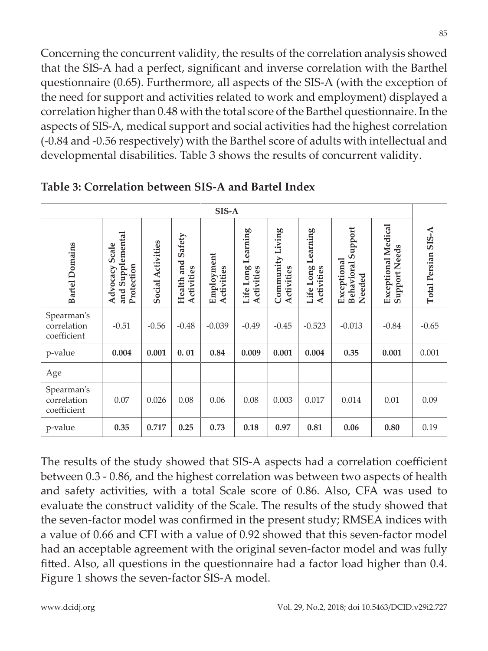Concerning the concurrent validity, the results of the correlation analysis showed that the SIS-A had a perfect, significant and inverse correlation with the Barthel questionnaire (0.65). Furthermore, all aspects of the SIS-A (with the exception of the need for support and activities related to work and employment) displayed a correlation higher than 0.48 with the total score of the Barthel questionnaire. In the aspects of SIS-A, medical support and social activities had the highest correlation (-0.84 and -0.56 respectively) with the Barthel score of adults with intellectual and developmental disabilities. Table 3 shows the results of concurrent validity.

| SIS-A                                    |                                                     |                       |                                       |                          |                                     |                                |                                     |                                                    |                                                    |                     |
|------------------------------------------|-----------------------------------------------------|-----------------------|---------------------------------------|--------------------------|-------------------------------------|--------------------------------|-------------------------------------|----------------------------------------------------|----------------------------------------------------|---------------------|
| <b>Bartel Domains</b>                    | and Supplemental<br>Scale<br>Protection<br>Advocacy | Activities<br>Social. | Safety<br>and<br>Activities<br>Health | Employment<br>Activities | Learning<br>Life Long<br>Activities | Community Living<br>Activities | Learning<br>Life Long<br>Activities | <b>Behavioral Support</b><br>Exceptional<br>Needed | <b>Exceptional Medical</b><br><b>Support Needs</b> | Total Persian SIS-A |
| Spearman's<br>correlation<br>coefficient | $-0.51$                                             | $-0.56$               | $-0.48$                               | $-0.039$                 | $-0.49$                             | $-0.45$                        | $-0.523$                            | $-0.013$                                           | $-0.84$                                            | $-0.65$             |
| p-value                                  | 0.004                                               | 0.001                 | 0.01                                  | 0.84                     | 0.009                               | 0.001                          | 0.004                               | 0.35                                               | 0.001                                              | 0.001               |
| Age                                      |                                                     |                       |                                       |                          |                                     |                                |                                     |                                                    |                                                    |                     |
| Spearman's<br>correlation<br>coefficient | 0.07                                                | 0.026                 | 0.08                                  | 0.06                     | 0.08                                | 0.003                          | 0.017                               | 0.014                                              | 0.01                                               | 0.09                |
| p-value                                  | 0.35                                                | 0.717                 | 0.25                                  | 0.73                     | 0.18                                | 0.97                           | 0.81                                | 0.06                                               | 0.80                                               | 0.19                |

**Table 3: Correlation between SIS-A and Bartel Index**

The results of the study showed that SIS-A aspects had a correlation coefficient between 0.3 - 0.86, and the highest correlation was between two aspects of health and safety activities, with a total Scale score of 0.86. Also, CFA was used to evaluate the construct validity of the Scale. The results of the study showed that the seven-factor model was confirmed in the present study; RMSEA indices with a value of 0.66 and CFI with a value of 0.92 showed that this seven-factor model had an acceptable agreement with the original seven-factor model and was fully fitted. Also, all questions in the questionnaire had a factor load higher than 0.4. Figure 1 shows the seven-factor SIS-A model.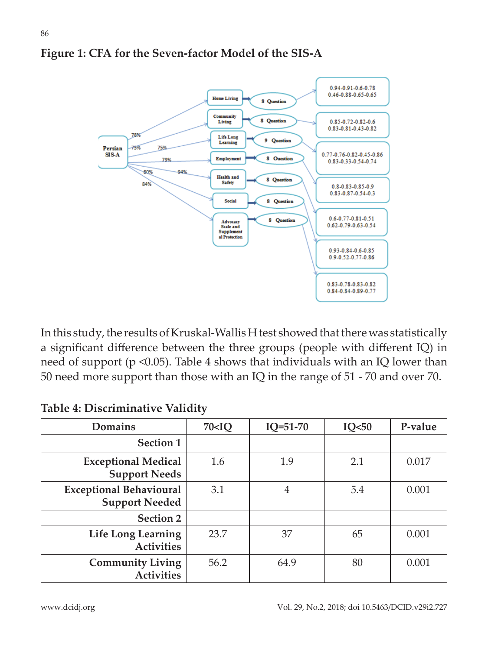

#### **Figure 1: CFA for the Seven-factor Model of the SIS-A**

In this study, the results of Kruskal-Wallis H test showed that there was statistically a significant difference between the three groups (people with different IQ) in need of support (p <0.05). Table 4 shows that individuals with an IQ lower than 50 need more support than those with an IQ in the range of 51 - 70 and over 70.

| Domains                                                 | 70 <iq< th=""><th><math>IQ = 51 - 70</math></th><th>IQ&lt;50</th><th>P-value</th></iq<> | $IQ = 51 - 70$ | IQ<50 | P-value |
|---------------------------------------------------------|-----------------------------------------------------------------------------------------|----------------|-------|---------|
| Section 1                                               |                                                                                         |                |       |         |
| <b>Exceptional Medical</b><br><b>Support Needs</b>      | 1.6                                                                                     | 1.9            | 2.1   | 0.017   |
| <b>Exceptional Behavioural</b><br><b>Support Needed</b> | 3.1                                                                                     | $\overline{4}$ | 5.4   | 0.001   |
| Section 2                                               |                                                                                         |                |       |         |
| <b>Life Long Learning</b><br><b>Activities</b>          | 23.7                                                                                    | 37             | 65    | 0.001   |
| <b>Community Living</b><br><b>Activities</b>            | 56.2                                                                                    | 64.9           | 80    | 0.001   |

#### **Table 4: Discriminative Validity**

86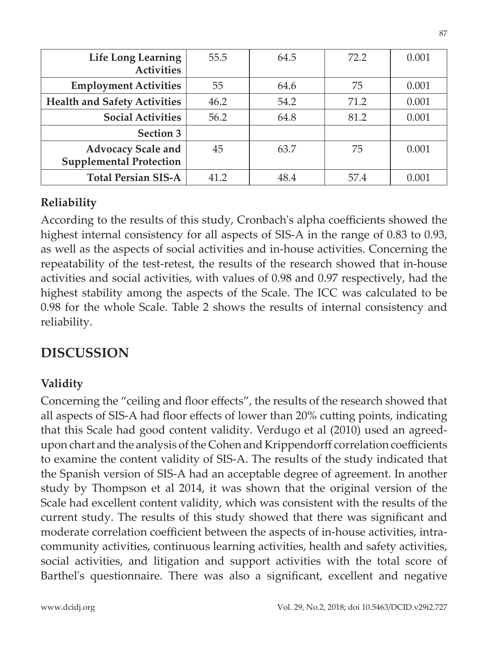| <b>Life Long Learning</b><br><b>Activities</b>              | 55.5 | 64.5 | 72.2 | 0.001 |
|-------------------------------------------------------------|------|------|------|-------|
| <b>Employment Activities</b>                                | 55   | 64.6 | 75   | 0.001 |
| <b>Health and Safety Activities</b>                         | 46.2 | 54.2 | 71.2 | 0.001 |
| <b>Social Activities</b>                                    | 56.2 | 64.8 | 81.2 | 0.001 |
| Section 3                                                   |      |      |      |       |
| <b>Advocacy Scale and</b><br><b>Supplemental Protection</b> | 45   | 63.7 | 75   | 0.001 |
| <b>Total Persian SIS-A</b>                                  | 41.2 | 48.4 | 57.4 | 0.001 |

#### **Reliability**

According to the results of this study, Cronbach's alpha coefficients showed the highest internal consistency for all aspects of SIS-A in the range of 0.83 to 0.93, as well as the aspects of social activities and in-house activities. Concerning the repeatability of the test-retest, the results of the research showed that in-house activities and social activities, with values of 0.98 and 0.97 respectively, had the highest stability among the aspects of the Scale. The ICC was calculated to be 0.98 for the whole Scale. Table 2 shows the results of internal consistency and reliability.

# **DISCUSSION**

## **Validity**

Concerning the "ceiling and floor effects", the results of the research showed that all aspects of SIS-A had floor effects of lower than 20% cutting points, indicating that this Scale had good content validity. Verdugo et al (2010) used an agreedupon chart and the analysis of the Cohen and Krippendorff correlation coefficients to examine the content validity of SIS-A. The results of the study indicated that the Spanish version of SIS-A had an acceptable degree of agreement. In another study by Thompson et al 2014, it was shown that the original version of the Scale had excellent content validity, which was consistent with the results of the current study. The results of this study showed that there was significant and moderate correlation coefficient between the aspects of in-house activities, intracommunity activities, continuous learning activities, health and safety activities, social activities, and litigation and support activities with the total score of Barthel's questionnaire. There was also a significant, excellent and negative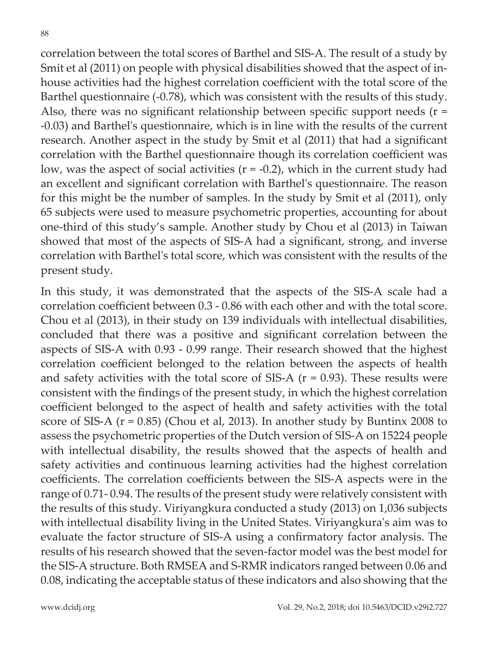correlation between the total scores of Barthel and SIS-A. The result of a study by Smit et al (2011) on people with physical disabilities showed that the aspect of inhouse activities had the highest correlation coefficient with the total score of the Barthel questionnaire (-0.78), which was consistent with the results of this study. Also, there was no significant relationship between specific support needs  $(r =$ -0.03) and Barthel's questionnaire, which is in line with the results of the current research. Another aspect in the study by Smit et al (2011) that had a significant correlation with the Barthel questionnaire though its correlation coefficient was low, was the aspect of social activities  $(r = -0.2)$ , which in the current study had an excellent and significant correlation with Barthel's questionnaire. The reason for this might be the number of samples. In the study by Smit et al (2011), only 65 subjects were used to measure psychometric properties, accounting for about one-third of this study's sample. Another study by Chou et al (2013) in Taiwan showed that most of the aspects of SIS-A had a significant, strong, and inverse correlation with Barthel's total score, which was consistent with the results of the present study.

In this study, it was demonstrated that the aspects of the SIS-A scale had a correlation coefficient between 0.3 - 0.86 with each other and with the total score. Chou et al (2013), in their study on 139 individuals with intellectual disabilities, concluded that there was a positive and significant correlation between the aspects of SIS-A with 0.93 - 0.99 range. Their research showed that the highest correlation coefficient belonged to the relation between the aspects of health and safety activities with the total score of SIS-A  $(r = 0.93)$ . These results were consistent with the findings of the present study, in which the highest correlation coefficient belonged to the aspect of health and safety activities with the total score of SIS-A (r = 0.85) (Chou et al, 2013). In another study by Buntinx 2008 to assess the psychometric properties of the Dutch version of SIS-A on 15224 people with intellectual disability, the results showed that the aspects of health and safety activities and continuous learning activities had the highest correlation coefficients. The correlation coefficients between the SIS-A aspects were in the range of 0.71- 0.94. The results of the present study were relatively consistent with the results of this study. Viriyangkura conducted a study (2013) on 1,036 subjects with intellectual disability living in the United States. Viriyangkura's aim was to evaluate the factor structure of SIS-A using a confirmatory factor analysis. The results of his research showed that the seven-factor model was the best model for the SIS-A structure. Both RMSEA and S-RMR indicators ranged between 0.06 and 0.08, indicating the acceptable status of these indicators and also showing that the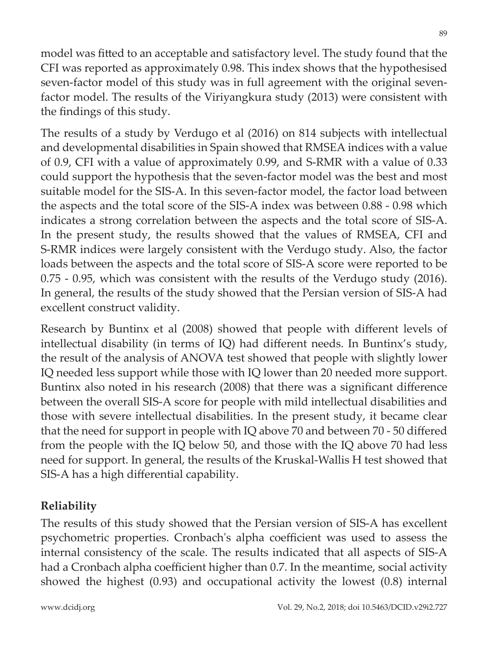model was fitted to an acceptable and satisfactory level. The study found that the CFI was reported as approximately 0.98. This index shows that the hypothesised seven-factor model of this study was in full agreement with the original sevenfactor model. The results of the Viriyangkura study (2013) were consistent with the findings of this study.

The results of a study by Verdugo et al (2016) on 814 subjects with intellectual and developmental disabilities in Spain showed that RMSEA indices with a value of 0.9, CFI with a value of approximately 0.99, and S-RMR with a value of 0.33 could support the hypothesis that the seven-factor model was the best and most suitable model for the SIS-A. In this seven-factor model, the factor load between the aspects and the total score of the SIS-A index was between 0.88 - 0.98 which indicates a strong correlation between the aspects and the total score of SIS-A. In the present study, the results showed that the values of RMSEA, CFI and S-RMR indices were largely consistent with the Verdugo study. Also, the factor loads between the aspects and the total score of SIS-A score were reported to be 0.75 - 0.95, which was consistent with the results of the Verdugo study (2016). In general, the results of the study showed that the Persian version of SIS-A had excellent construct validity.

Research by Buntinx et al (2008) showed that people with different levels of intellectual disability (in terms of IQ) had different needs. In Buntinx's study, the result of the analysis of ANOVA test showed that people with slightly lower IQ needed less support while those with IQ lower than 20 needed more support. Buntinx also noted in his research (2008) that there was a significant difference between the overall SIS-A score for people with mild intellectual disabilities and those with severe intellectual disabilities. In the present study, it became clear that the need for support in people with IQ above 70 and between 70 - 50 differed from the people with the IQ below 50, and those with the IQ above 70 had less need for support. In general, the results of the Kruskal-Wallis H test showed that SIS-A has a high differential capability.

## **Reliability**

The results of this study showed that the Persian version of SIS-A has excellent psychometric properties. Cronbach's alpha coefficient was used to assess the internal consistency of the scale. The results indicated that all aspects of SIS-A had a Cronbach alpha coefficient higher than 0.7. In the meantime, social activity showed the highest (0.93) and occupational activity the lowest (0.8) internal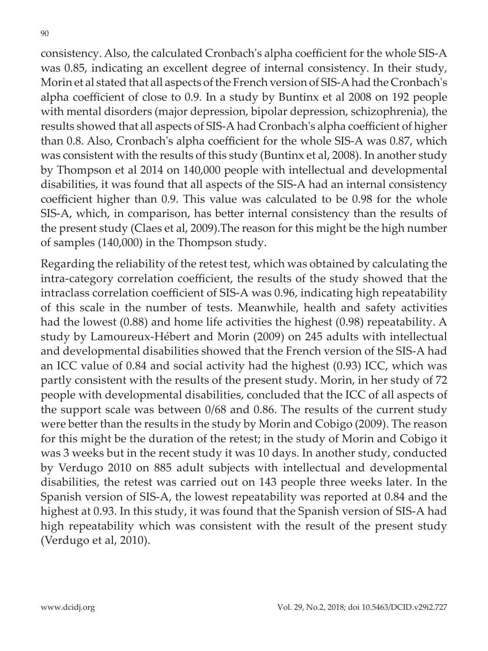90

consistency. Also, the calculated Cronbach's alpha coefficient for the whole SIS-A was 0.85, indicating an excellent degree of internal consistency. In their study, Morin et al stated that all aspects of the French version of SIS-A had the Cronbach's alpha coefficient of close to 0.9. In a study by Buntinx et al 2008 on 192 people with mental disorders (major depression, bipolar depression, schizophrenia), the results showed that all aspects of SIS-A had Cronbach's alpha coefficient of higher than 0.8. Also, Cronbach's alpha coefficient for the whole SIS-A was 0.87, which was consistent with the results of this study (Buntinx et al, 2008). In another study by Thompson et al 2014 on 140,000 people with intellectual and developmental disabilities, it was found that all aspects of the SIS-A had an internal consistency coefficient higher than 0.9. This value was calculated to be 0.98 for the whole SIS-A, which, in comparison, has better internal consistency than the results of the present study (Claes et al, 2009).The reason for this might be the high number of samples (140,000) in the Thompson study.

Regarding the reliability of the retest test, which was obtained by calculating the intra-category correlation coefficient, the results of the study showed that the intraclass correlation coefficient of SIS-A was 0.96, indicating high repeatability of this scale in the number of tests. Meanwhile, health and safety activities had the lowest (0.88) and home life activities the highest (0.98) repeatability. A study by Lamoureux-Hébert and Morin (2009) on 245 adults with intellectual and developmental disabilities showed that the French version of the SIS-A had an ICC value of 0.84 and social activity had the highest (0.93) ICC, which was partly consistent with the results of the present study. Morin, in her study of 72 people with developmental disabilities, concluded that the ICC of all aspects of the support scale was between 0/68 and 0.86. The results of the current study were better than the results in the study by Morin and Cobigo (2009). The reason for this might be the duration of the retest; in the study of Morin and Cobigo it was 3 weeks but in the recent study it was 10 days. In another study, conducted by Verdugo 2010 on 885 adult subjects with intellectual and developmental disabilities, the retest was carried out on 143 people three weeks later. In the Spanish version of SIS-A, the lowest repeatability was reported at 0.84 and the highest at 0.93. In this study, it was found that the Spanish version of SIS-A had high repeatability which was consistent with the result of the present study (Verdugo et al, 2010).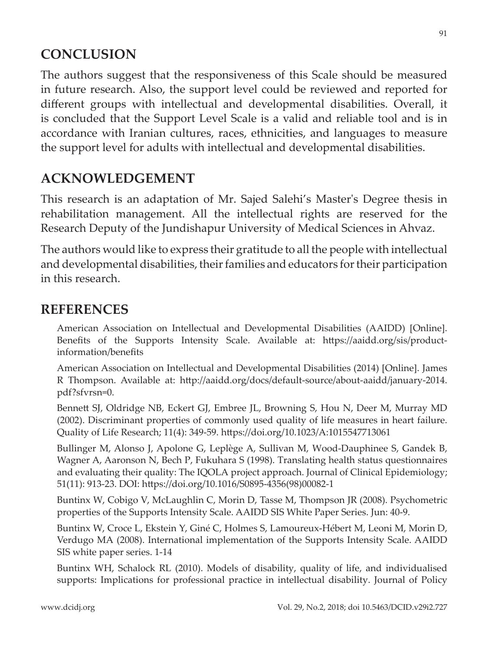# **CONCLUSION**

The authors suggest that the responsiveness of this Scale should be measured in future research. Also, the support level could be reviewed and reported for different groups with intellectual and developmental disabilities. Overall, it is concluded that the Support Level Scale is a valid and reliable tool and is in accordance with Iranian cultures, races, ethnicities, and languages to measure the support level for adults with intellectual and developmental disabilities.

## **ACKNOWLEDGEMENT**

This research is an adaptation of Mr. Sajed Salehi's Master's Degree thesis in rehabilitation management. All the intellectual rights are reserved for the Research Deputy of the Jundishapur University of Medical Sciences in Ahvaz.

The authors would like to express their gratitude to all the people with intellectual and developmental disabilities, their families and educators for their participation in this research.

## **REFERENCES**

American Association on Intellectual and Developmental Disabilities (AAIDD) [Online]. Benefits of the Supports Intensity Scale. Available at: https://aaidd.org/sis/productinformation/benefits

American Association on Intellectual and Developmental Disabilities (2014) [Online]. James R Thompson. Available at: http://aaidd.org/docs/default-source/about-aaidd/january-2014. pdf?sfvrsn=0.

Bennett SJ, Oldridge NB, Eckert GJ, Embree JL, Browning S, Hou N, Deer M, Murray MD (2002). Discriminant properties of commonly used quality of life measures in heart failure. Quality of Life Research; 11(4): 349-59. https://doi.org/10.1023/A:1015547713061

Bullinger M, Alonso J, Apolone G, Leplège A, Sullivan M, Wood-Dauphinee S, Gandek B, Wagner A, Aaronson N, Bech P, Fukuhara S (1998). Translating health status questionnaires and evaluating their quality: The IQOLA project approach. Journal of Clinical Epidemiology; 51(11): 913-23. DOI: https://doi.org/10.1016/S0895-4356(98)00082-1

Buntinx W, Cobigo V, McLaughlin C, Morin D, Tasse M, Thompson JR (2008). Psychometric properties of the Supports Intensity Scale. AAIDD SIS White Paper Series. Jun: 40-9.

Buntinx W, Croce L, Ekstein Y, Giné C, Holmes S, Lamoureux-Hébert M, Leoni M, Morin D, Verdugo MA (2008). International implementation of the Supports Intensity Scale. AAIDD SIS white paper series. 1-14

Buntinx WH, Schalock RL (2010). Models of disability, quality of life, and individualised supports: Implications for professional practice in intellectual disability. Journal of Policy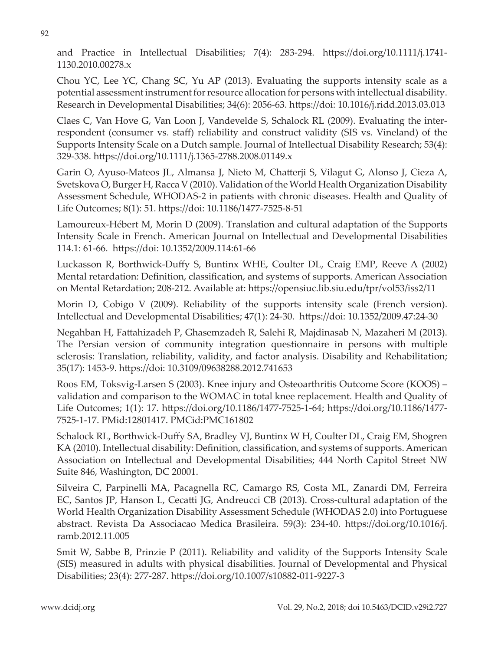and Practice in Intellectual Disabilities; 7(4): 283-294. https://doi.org/10.1111/j.1741- 1130.2010.00278.x

Chou YC, Lee YC, Chang SC, Yu AP (2013). Evaluating the supports intensity scale as a potential assessment instrument for resource allocation for persons with intellectual disability. Research in Developmental Disabilities; 34(6): 2056-63. https://doi: 10.1016/j.ridd.2013.03.013

Claes C, Van Hove G, Van Loon J, Vandevelde S, Schalock RL (2009). Evaluating the interrespondent (consumer vs. staff) reliability and construct validity (SIS vs. Vineland) of the Supports Intensity Scale on a Dutch sample. Journal of Intellectual Disability Research; 53(4): 329-338. https://doi.org/10.1111/j.1365-2788.2008.01149.x

Garin O, Ayuso-Mateos JL, Almansa J, Nieto M, Chatterji S, Vilagut G, Alonso J, Cieza A, Svetskova O, Burger H, Racca V (2010). Validation of the World Health Organization Disability Assessment Schedule, WHODAS-2 in patients with chronic diseases. Health and Quality of Life Outcomes; 8(1): 51. https://doi: 10.1186/1477-7525-8-51

Lamoureux-Hébert M, Morin D (2009). Translation and cultural adaptation of the Supports Intensity Scale in French. American Journal on Intellectual and Developmental Disabilities 114.1: 61-66. https://doi: 10.1352/2009.114:61-66

Luckasson R, Borthwick-Duffy S, Buntinx WHE, Coulter DL, Craig EMP, Reeve A (2002) Mental retardation: Definition, classification, and systems of supports. American Association on Mental Retardation; 208-212. Available at: https://opensiuc.lib.siu.edu/tpr/vol53/iss2/11

Morin D, Cobigo V (2009). Reliability of the supports intensity scale (French version). Intellectual and Developmental Disabilities; 47(1): 24-30. https://doi: 10.1352/2009.47:24-30

Negahban H, Fattahizadeh P, Ghasemzadeh R, Salehi R, Majdinasab N, Mazaheri M (2013). The Persian version of community integration questionnaire in persons with multiple sclerosis: Translation, reliability, validity, and factor analysis. Disability and Rehabilitation; 35(17): 1453-9. https://doi: 10.3109/09638288.2012.741653

Roos EM, Toksvig-Larsen S (2003). Knee injury and Osteoarthritis Outcome Score (KOOS) – validation and comparison to the WOMAC in total knee replacement. Health and Quality of Life Outcomes; 1(1): 17. https://doi.org/10.1186/1477-7525-1-64; https://doi.org/10.1186/1477- 7525-1-17. PMid:12801417. PMCid:PMC161802

Schalock RL, Borthwick-Duffy SA, Bradley VJ, Buntinx W H, Coulter DL, Craig EM, Shogren KA (2010). Intellectual disability: Definition, classification, and systems of supports. American Association on Intellectual and Developmental Disabilities; 444 North Capitol Street NW Suite 846, Washington, DC 20001.

Silveira C, Parpinelli MA, Pacagnella RC, Camargo RS, Costa ML, Zanardi DM, Ferreira EC, Santos JP, Hanson L, Cecatti JG, Andreucci CB (2013). Cross-cultural adaptation of the World Health Organization Disability Assessment Schedule (WHODAS 2.0) into Portuguese abstract. Revista Da Associacao Medica Brasileira. 59(3): 234-40. https://doi.org/10.1016/j. ramb.2012.11.005

Smit W, Sabbe B, Prinzie P (2011). Reliability and validity of the Supports Intensity Scale (SIS) measured in adults with physical disabilities. Journal of Developmental and Physical Disabilities; 23(4): 277-287. https://doi.org/10.1007/s10882-011-9227-3